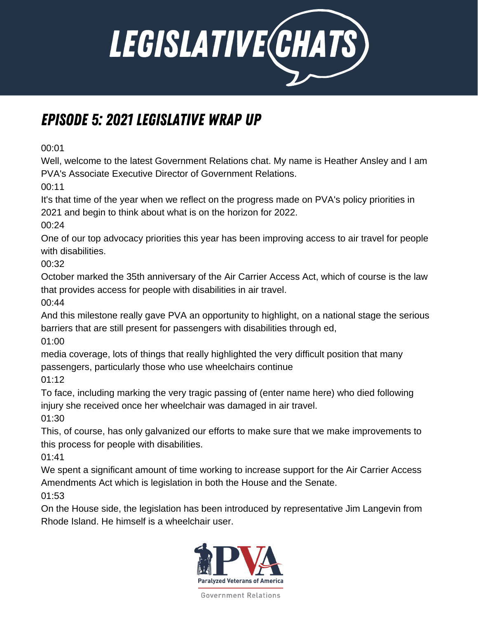

## Episode 5: 2021 Legislative Wrap Up

00:01

Well, welcome to the latest Government Relations chat. My name is Heather Ansley and I am PVA's Associate Executive Director of Government Relations.

00:11

It's that time of the year when we reflect on the progress made on PVA's policy priorities in 2021 and begin to think about what is on the horizon for 2022.

00:24

One of our top advocacy priorities this year has been improving access to air travel for people with disabilities.

00:32

October marked the 35th anniversary of the Air Carrier Access Act, which of course is the law that provides access for people with disabilities in air travel.

00:44

And this milestone really gave PVA an opportunity to highlight, on a national stage the serious barriers that are still present for passengers with disabilities through ed,

01:00

media coverage, lots of things that really highlighted the very difficult position that many passengers, particularly those who use wheelchairs continue

01:12

To face, including marking the very tragic passing of (enter name here) who died following injury she received once her wheelchair was damaged in air travel.

01:30

This, of course, has only galvanized our efforts to make sure that we make improvements to this process for people with disabilities.

01:41

We spent a significant amount of time working to increase support for the Air Carrier Access Amendments Act which is legislation in both the House and the Senate.

01:53

On the House side, the legislation has been introduced by representative Jim Langevin from Rhode Island. He himself is a wheelchair user.

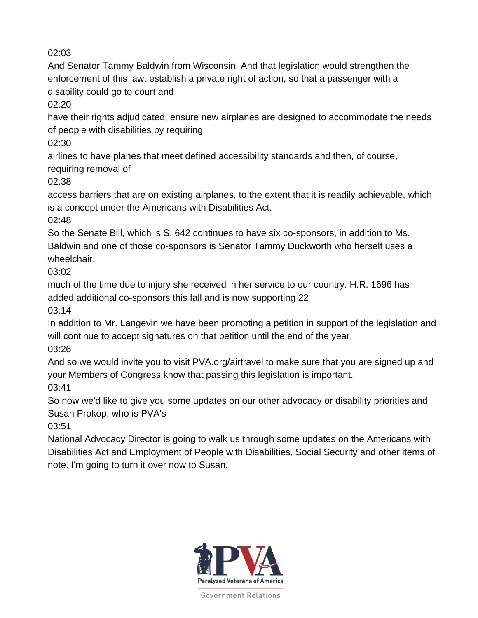And Senator Tammy Baldwin from Wisconsin. And that legislation would strengthen the enforcement of this law, establish a private right of action, so that a passenger with a disability could go to court and

02:20

have their rights adjudicated, ensure new airplanes are designed to accommodate the needs of people with disabilities by requiring

02:30

airlines to have planes that meet defined accessibility standards and then, of course,

requiring removal of

02:38

access barriers that are on existing airplanes, to the extent that it is readily achievable, which is a concept under the Americans with Disabilities Act.

02:48

So the Senate Bill, which is S. 642 continues to have six co-sponsors, in addition to Ms. Baldwin and one of those co-sponsors is Senator Tammy Duckworth who herself uses a wheelchair.

03:02

much of the time due to injury she received in her service to our country. H.R. 1696 has added additional co-sponsors this fall and is now supporting 22

03:14

In addition to Mr. Langevin we have been promoting a petition in support of the legislation and will continue to accept signatures on that petition until the end of the year.

03:26

And so we would invite you to visit PVA.org/airtravel to make sure that you are signed up and your Members of Congress know that passing this legislation is important.

03:41

So now we'd like to give you some updates on our other advocacy or disability priorities and Susan Prokop, who is PVA's

03:51

National Advocacy Director is going to walk us through some updates on the Americans with Disabilities Act and Employment of People with Disabilities, Social Security and other items of note. I'm going to turn it over now to Susan.

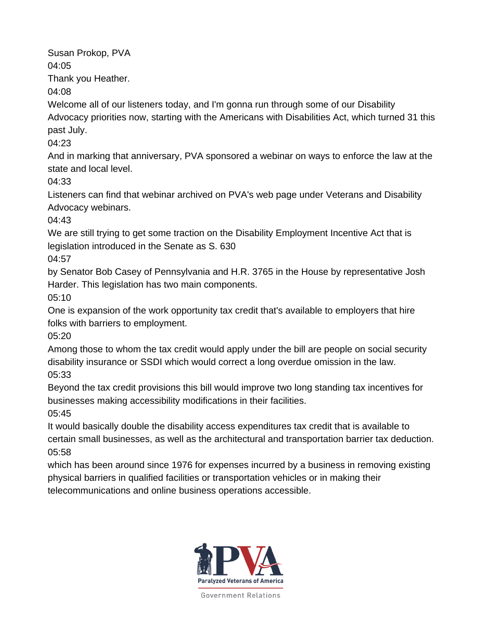Susan Prokop, PVA

04:05

Thank you Heather.

04:08

Welcome all of our listeners today, and I'm gonna run through some of our Disability Advocacy priorities now, starting with the Americans with Disabilities Act, which turned 31 this past July.

04:23

And in marking that anniversary, PVA sponsored a webinar on ways to enforce the law at the state and local level.

04:33

Listeners can find that webinar archived on PVA's web page under Veterans and Disability Advocacy webinars.

04:43

We are still trying to get some traction on the Disability Employment Incentive Act that is legislation introduced in the Senate as S. 630

04:57

by Senator Bob Casey of Pennsylvania and H.R. 3765 in the House by representative Josh Harder. This legislation has two main components.

05:10

One is expansion of the work opportunity tax credit that's available to employers that hire folks with barriers to employment.

05:20

Among those to whom the tax credit would apply under the bill are people on social security disability insurance or SSDI which would correct a long overdue omission in the law. 05:33

Beyond the tax credit provisions this bill would improve two long standing tax incentives for businesses making accessibility modifications in their facilities.

05:45

It would basically double the disability access expenditures tax credit that is available to certain small businesses, as well as the architectural and transportation barrier tax deduction. 05:58

which has been around since 1976 for expenses incurred by a business in removing existing physical barriers in qualified facilities or transportation vehicles or in making their telecommunications and online business operations accessible.

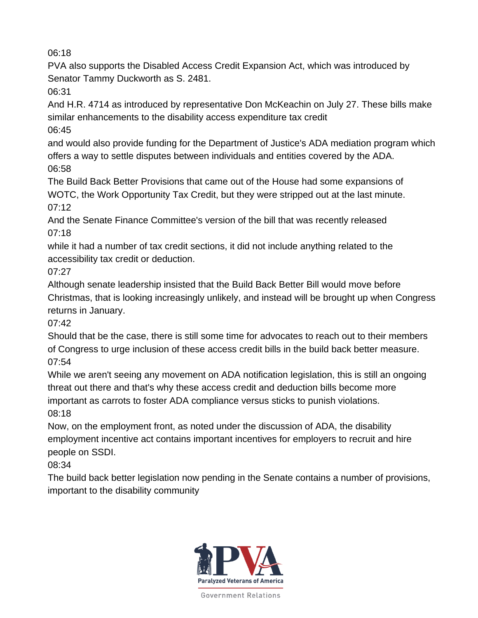PVA also supports the Disabled Access Credit Expansion Act, which was introduced by Senator Tammy Duckworth as S. 2481.

06:31

And H.R. 4714 as introduced by representative Don McKeachin on July 27. These bills make similar enhancements to the disability access expenditure tax credit

06:45

and would also provide funding for the Department of Justice's ADA mediation program which offers a way to settle disputes between individuals and entities covered by the ADA. 06:58

The Build Back Better Provisions that came out of the House had some expansions of WOTC, the Work Opportunity Tax Credit, but they were stripped out at the last minute. 07:12

And the Senate Finance Committee's version of the bill that was recently released 07:18

while it had a number of tax credit sections, it did not include anything related to the accessibility tax credit or deduction.

07:27

Although senate leadership insisted that the Build Back Better Bill would move before Christmas, that is looking increasingly unlikely, and instead will be brought up when Congress returns in January.

07:42

Should that be the case, there is still some time for advocates to reach out to their members of Congress to urge inclusion of these access credit bills in the build back better measure. 07:54

While we aren't seeing any movement on ADA notification legislation, this is still an ongoing threat out there and that's why these access credit and deduction bills become more important as carrots to foster ADA compliance versus sticks to punish violations. 08:18

Now, on the employment front, as noted under the discussion of ADA, the disability employment incentive act contains important incentives for employers to recruit and hire people on SSDI.

08:34

The build back better legislation now pending in the Senate contains a number of provisions, important to the disability community

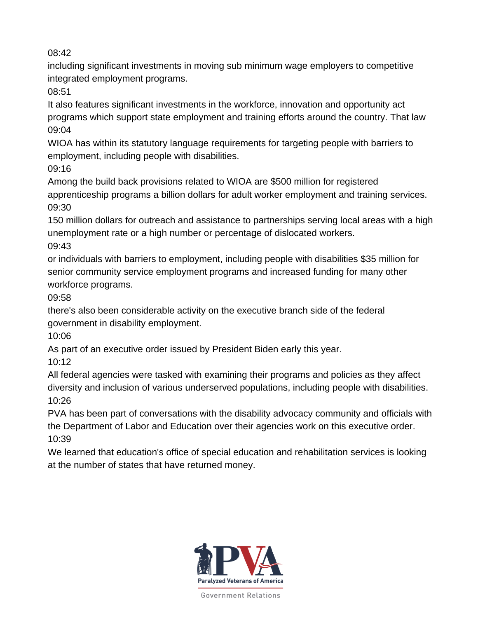including significant investments in moving sub minimum wage employers to competitive integrated employment programs.

08:51

It also features significant investments in the workforce, innovation and opportunity act programs which support state employment and training efforts around the country. That law 09:04

WIOA has within its statutory language requirements for targeting people with barriers to employment, including people with disabilities.

09:16

Among the build back provisions related to WIOA are \$500 million for registered apprenticeship programs a billion dollars for adult worker employment and training services. 09:30

150 million dollars for outreach and assistance to partnerships serving local areas with a high unemployment rate or a high number or percentage of dislocated workers. 09:43

or individuals with barriers to employment, including people with disabilities \$35 million for senior community service employment programs and increased funding for many other workforce programs.

09:58

there's also been considerable activity on the executive branch side of the federal government in disability employment.

10:06

As part of an executive order issued by President Biden early this year.

10:12

All federal agencies were tasked with examining their programs and policies as they affect diversity and inclusion of various underserved populations, including people with disabilities. 10:26

PVA has been part of conversations with the disability advocacy community and officials with the Department of Labor and Education over their agencies work on this executive order. 10:39

We learned that education's office of special education and rehabilitation services is looking at the number of states that have returned money.

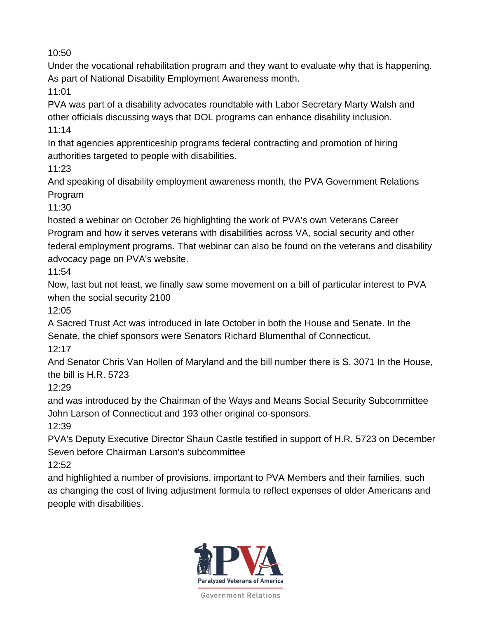Under the vocational rehabilitation program and they want to evaluate why that is happening. As part of National Disability Employment Awareness month.

11:01

PVA was part of a disability advocates roundtable with Labor Secretary Marty Walsh and other officials discussing ways that DOL programs can enhance disability inclusion. 11:14

In that agencies apprenticeship programs federal contracting and promotion of hiring authorities targeted to people with disabilities.

11:23

And speaking of disability employment awareness month, the PVA Government Relations Program

11:30

hosted a webinar on October 26 highlighting the work of PVA's own Veterans Career Program and how it serves veterans with disabilities across VA, social security and other federal employment programs. That webinar can also be found on the veterans and disability advocacy page on PVA's website.

11:54

Now, last but not least, we finally saw some movement on a bill of particular interest to PVA when the social security 2100

12:05

A Sacred Trust Act was introduced in late October in both the House and Senate. In the Senate, the chief sponsors were Senators Richard Blumenthal of Connecticut. 12:17

And Senator Chris Van Hollen of Maryland and the bill number there is S. 3071 In the House, the bill is H.R. 5723

12:29

and was introduced by the Chairman of the Ways and Means Social Security Subcommittee John Larson of Connecticut and 193 other original co-sponsors.

12:39

PVA's Deputy Executive Director Shaun Castle testified in support of H.R. 5723 on December Seven before Chairman Larson's subcommittee

12:52

and highlighted a number of provisions, important to PVA Members and their families, such as changing the cost of living adjustment formula to reflect expenses of older Americans and people with disabilities.

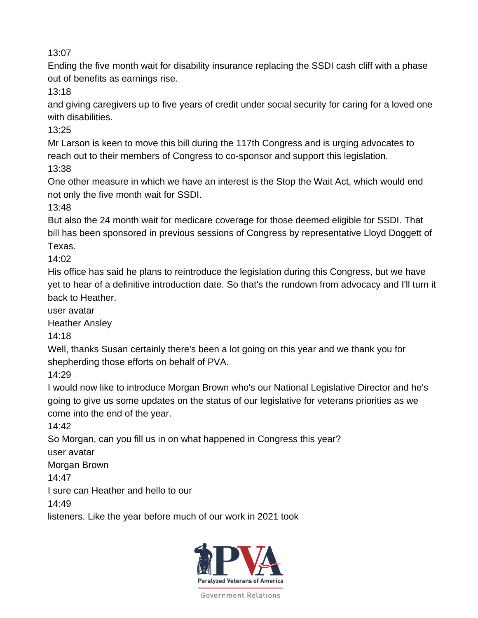Ending the five month wait for disability insurance replacing the SSDI cash cliff with a phase out of benefits as earnings rise.

13:18

and giving caregivers up to five years of credit under social security for caring for a loved one with disabilities.

13:25

Mr Larson is keen to move this bill during the 117th Congress and is urging advocates to reach out to their members of Congress to co-sponsor and support this legislation. 13:38

One other measure in which we have an interest is the Stop the Wait Act, which would end not only the five month wait for SSDI.

13:48

But also the 24 month wait for medicare coverage for those deemed eligible for SSDI. That bill has been sponsored in previous sessions of Congress by representative Lloyd Doggett of Texas.

14:02

His office has said he plans to reintroduce the legislation during this Congress, but we have yet to hear of a definitive introduction date. So that's the rundown from advocacy and I'll turn it back to Heather.

user avatar

Heather Ansley

14:18

Well, thanks Susan certainly there's been a lot going on this year and we thank you for shepherding those efforts on behalf of PVA.

14:29

I would now like to introduce Morgan Brown who's our National Legislative Director and he's going to give us some updates on the status of our legislative for veterans priorities as we come into the end of the year.

14:42

So Morgan, can you fill us in on what happened in Congress this year?

user avatar

Morgan Brown

14:47

I sure can Heather and hello to our

14:49

listeners. Like the year before much of our work in 2021 took

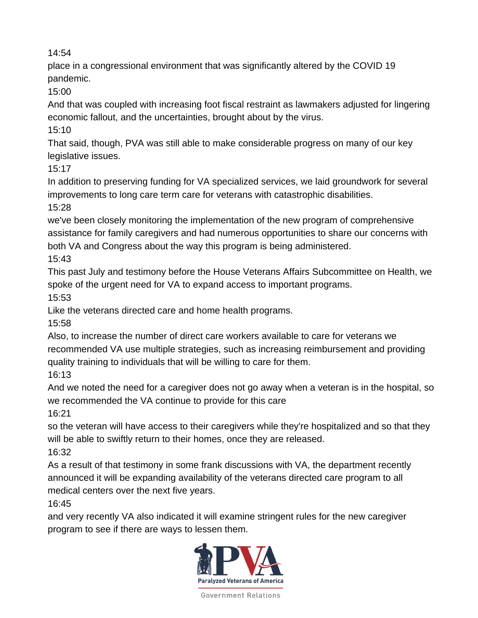place in a congressional environment that was significantly altered by the COVID 19 pandemic.

15:00

And that was coupled with increasing foot fiscal restraint as lawmakers adjusted for lingering economic fallout, and the uncertainties, brought about by the virus.

15:10

That said, though, PVA was still able to make considerable progress on many of our key legislative issues.

15:17

In addition to preserving funding for VA specialized services, we laid groundwork for several improvements to long care term care for veterans with catastrophic disabilities.

15:28

we've been closely monitoring the implementation of the new program of comprehensive assistance for family caregivers and had numerous opportunities to share our concerns with both VA and Congress about the way this program is being administered.

15:43

This past July and testimony before the House Veterans Affairs Subcommittee on Health, we spoke of the urgent need for VA to expand access to important programs.

15:53

Like the veterans directed care and home health programs.

15:58

Also, to increase the number of direct care workers available to care for veterans we recommended VA use multiple strategies, such as increasing reimbursement and providing quality training to individuals that will be willing to care for them.

16:13

And we noted the need for a caregiver does not go away when a veteran is in the hospital, so we recommended the VA continue to provide for this care

16:21

so the veteran will have access to their caregivers while they're hospitalized and so that they will be able to swiftly return to their homes, once they are released.

16:32

As a result of that testimony in some frank discussions with VA, the department recently announced it will be expanding availability of the veterans directed care program to all medical centers over the next five years.

16:45

and very recently VA also indicated it will examine stringent rules for the new caregiver program to see if there are ways to lessen them.

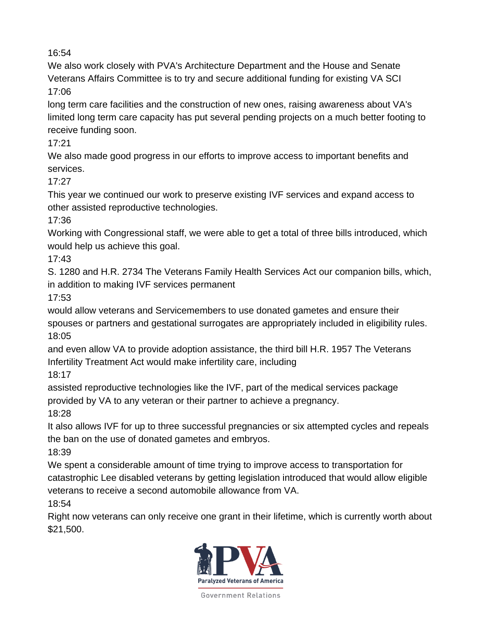We also work closely with PVA's Architecture Department and the House and Senate Veterans Affairs Committee is to try and secure additional funding for existing VA SCI 17:06

long term care facilities and the construction of new ones, raising awareness about VA's limited long term care capacity has put several pending projects on a much better footing to receive funding soon.

17:21

We also made good progress in our efforts to improve access to important benefits and services.

 $17:27$ 

This year we continued our work to preserve existing IVF services and expand access to other assisted reproductive technologies.

17:36

Working with Congressional staff, we were able to get a total of three bills introduced, which would help us achieve this goal.

17:43

S. 1280 and H.R. 2734 The Veterans Family Health Services Act our companion bills, which, in addition to making IVF services permanent

17:53

would allow veterans and Servicemembers to use donated gametes and ensure their spouses or partners and gestational surrogates are appropriately included in eligibility rules. 18:05

and even allow VA to provide adoption assistance, the third bill H.R. 1957 The Veterans Infertility Treatment Act would make infertility care, including

18:17

assisted reproductive technologies like the IVF, part of the medical services package provided by VA to any veteran or their partner to achieve a pregnancy.

18:28

It also allows IVF for up to three successful pregnancies or six attempted cycles and repeals the ban on the use of donated gametes and embryos.

18:39

We spent a considerable amount of time trying to improve access to transportation for catastrophic Lee disabled veterans by getting legislation introduced that would allow eligible veterans to receive a second automobile allowance from VA.

18:54

Right now veterans can only receive one grant in their lifetime, which is currently worth about \$21,500.

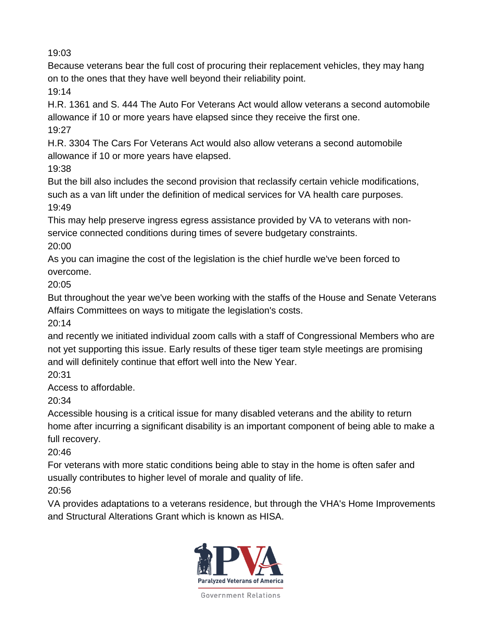Because veterans bear the full cost of procuring their replacement vehicles, they may hang on to the ones that they have well beyond their reliability point.

19:14

H.R. 1361 and S. 444 The Auto For Veterans Act would allow veterans a second automobile allowance if 10 or more years have elapsed since they receive the first one. 19:27

H.R. 3304 The Cars For Veterans Act would also allow veterans a second automobile allowance if 10 or more years have elapsed.

19:38

But the bill also includes the second provision that reclassify certain vehicle modifications, such as a van lift under the definition of medical services for VA health care purposes. 19:49

This may help preserve ingress egress assistance provided by VA to veterans with nonservice connected conditions during times of severe budgetary constraints. 20:00

As you can imagine the cost of the legislation is the chief hurdle we've been forced to overcome.

20:05

But throughout the year we've been working with the staffs of the House and Senate Veterans Affairs Committees on ways to mitigate the legislation's costs.

20:14

and recently we initiated individual zoom calls with a staff of Congressional Members who are not yet supporting this issue. Early results of these tiger team style meetings are promising and will definitely continue that effort well into the New Year.

20:31

Access to affordable.

20:34

Accessible housing is a critical issue for many disabled veterans and the ability to return home after incurring a significant disability is an important component of being able to make a full recovery.

20:46

For veterans with more static conditions being able to stay in the home is often safer and usually contributes to higher level of morale and quality of life.

20:56

VA provides adaptations to a veterans residence, but through the VHA's Home Improvements and Structural Alterations Grant which is known as HISA.

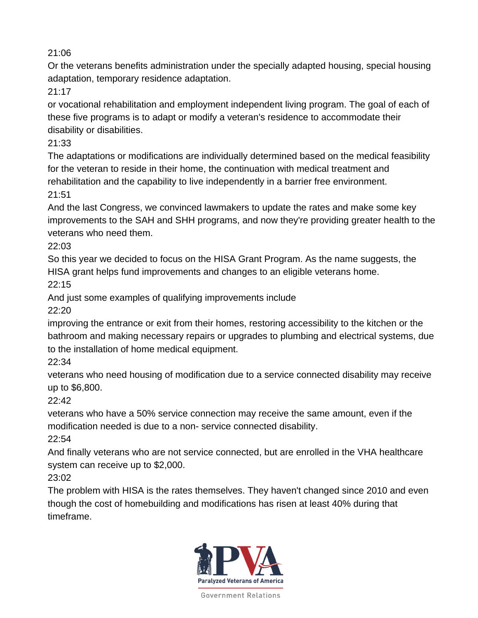Or the veterans benefits administration under the specially adapted housing, special housing adaptation, temporary residence adaptation.

21:17

or vocational rehabilitation and employment independent living program. The goal of each of these five programs is to adapt or modify a veteran's residence to accommodate their disability or disabilities.

21:33

The adaptations or modifications are individually determined based on the medical feasibility for the veteran to reside in their home, the continuation with medical treatment and rehabilitation and the capability to live independently in a barrier free environment. 21:51

And the last Congress, we convinced lawmakers to update the rates and make some key improvements to the SAH and SHH programs, and now they're providing greater health to the veterans who need them.

22:03

So this year we decided to focus on the HISA Grant Program. As the name suggests, the HISA grant helps fund improvements and changes to an eligible veterans home.  $22.15$ 

And just some examples of qualifying improvements include

22:20

improving the entrance or exit from their homes, restoring accessibility to the kitchen or the bathroom and making necessary repairs or upgrades to plumbing and electrical systems, due to the installation of home medical equipment.

22:34

veterans who need housing of modification due to a service connected disability may receive up to \$6,800.

22:42

veterans who have a 50% service connection may receive the same amount, even if the modification needed is due to a non- service connected disability.

22:54

And finally veterans who are not service connected, but are enrolled in the VHA healthcare system can receive up to \$2,000.

23:02

The problem with HISA is the rates themselves. They haven't changed since 2010 and even though the cost of homebuilding and modifications has risen at least 40% during that timeframe.

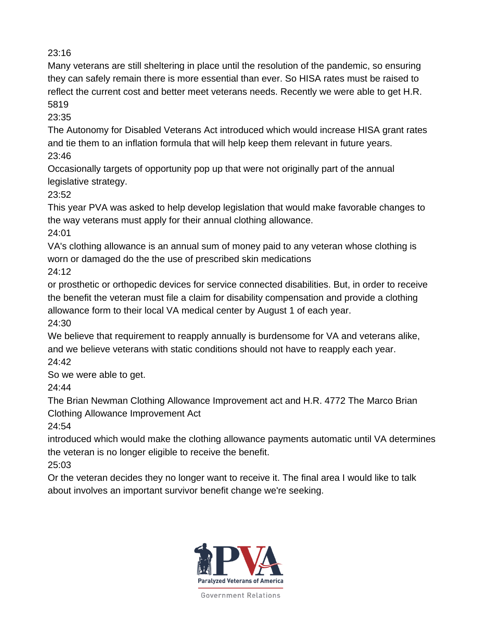Many veterans are still sheltering in place until the resolution of the pandemic, so ensuring they can safely remain there is more essential than ever. So HISA rates must be raised to reflect the current cost and better meet veterans needs. Recently we were able to get H.R. 5819

23:35

The Autonomy for Disabled Veterans Act introduced which would increase HISA grant rates and tie them to an inflation formula that will help keep them relevant in future years. 23:46

Occasionally targets of opportunity pop up that were not originally part of the annual legislative strategy.

23:52

This year PVA was asked to help develop legislation that would make favorable changes to the way veterans must apply for their annual clothing allowance.

24:01

VA's clothing allowance is an annual sum of money paid to any veteran whose clothing is worn or damaged do the the use of prescribed skin medications

24:12

or prosthetic or orthopedic devices for service connected disabilities. But, in order to receive the benefit the veteran must file a claim for disability compensation and provide a clothing allowance form to their local VA medical center by August 1 of each year.

24:30

We believe that requirement to reapply annually is burdensome for VA and veterans alike, and we believe veterans with static conditions should not have to reapply each year. 24:42

So we were able to get.

24:44

The Brian Newman Clothing Allowance Improvement act and H.R. 4772 The Marco Brian Clothing Allowance Improvement Act

24:54

introduced which would make the clothing allowance payments automatic until VA determines the veteran is no longer eligible to receive the benefit.

25:03

Or the veteran decides they no longer want to receive it. The final area I would like to talk about involves an important survivor benefit change we're seeking.

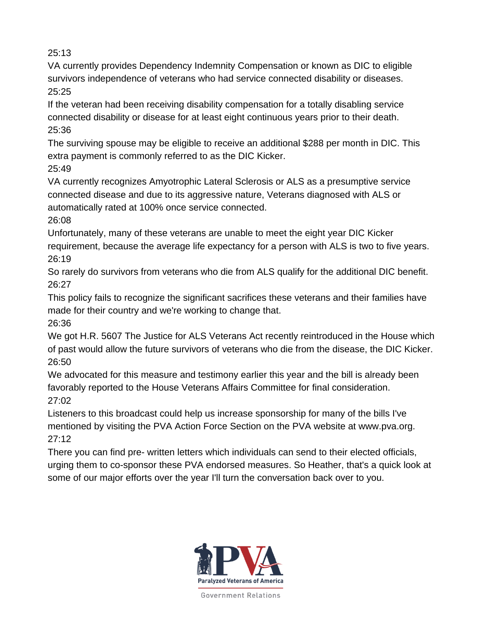VA currently provides Dependency Indemnity Compensation or known as DIC to eligible survivors independence of veterans who had service connected disability or diseases. 25:25

If the veteran had been receiving disability compensation for a totally disabling service connected disability or disease for at least eight continuous years prior to their death. 25:36

The surviving spouse may be eligible to receive an additional \$288 per month in DIC. This extra payment is commonly referred to as the DIC Kicker.

25:49

VA currently recognizes Amyotrophic Lateral Sclerosis or ALS as a presumptive service connected disease and due to its aggressive nature, Veterans diagnosed with ALS or automatically rated at 100% once service connected.

26:08

Unfortunately, many of these veterans are unable to meet the eight year DIC Kicker requirement, because the average life expectancy for a person with ALS is two to five years. 26:19

So rarely do survivors from veterans who die from ALS qualify for the additional DIC benefit. 26:27

This policy fails to recognize the significant sacrifices these veterans and their families have made for their country and we're working to change that.

26:36

We got H.R. 5607 The Justice for ALS Veterans Act recently reintroduced in the House which of past would allow the future survivors of veterans who die from the disease, the DIC Kicker. 26:50

We advocated for this measure and testimony earlier this year and the bill is already been favorably reported to the House Veterans Affairs Committee for final consideration. 27:02

Listeners to this broadcast could help us increase sponsorship for many of the bills I've mentioned by visiting the PVA Action Force Section on the PVA website at www.pva.org. 27:12

There you can find pre- written letters which individuals can send to their elected officials, urging them to co-sponsor these PVA endorsed measures. So Heather, that's a quick look at some of our major efforts over the year I'll turn the conversation back over to you.

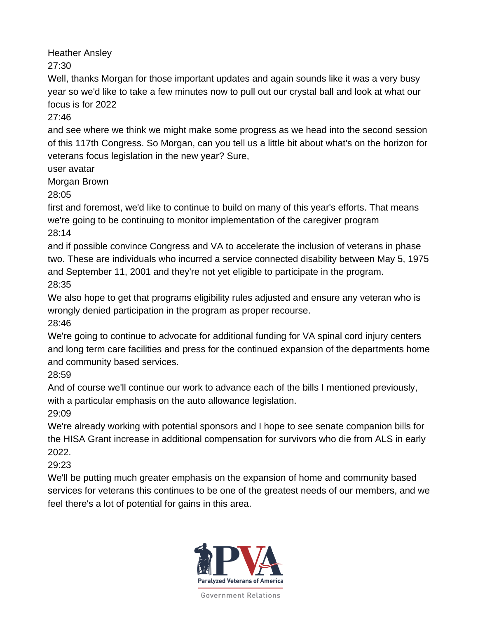Heather Ansley

27:30

Well, thanks Morgan for those important updates and again sounds like it was a very busy year so we'd like to take a few minutes now to pull out our crystal ball and look at what our focus is for 2022

27:46

and see where we think we might make some progress as we head into the second session of this 117th Congress. So Morgan, can you tell us a little bit about what's on the horizon for veterans focus legislation in the new year? Sure,

user avatar

Morgan Brown

28:05

first and foremost, we'd like to continue to build on many of this year's efforts. That means we're going to be continuing to monitor implementation of the caregiver program 28:14

and if possible convince Congress and VA to accelerate the inclusion of veterans in phase two. These are individuals who incurred a service connected disability between May 5, 1975 and September 11, 2001 and they're not yet eligible to participate in the program. 28:35

We also hope to get that programs eligibility rules adjusted and ensure any veteran who is wrongly denied participation in the program as proper recourse.

28:46

We're going to continue to advocate for additional funding for VA spinal cord injury centers and long term care facilities and press for the continued expansion of the departments home and community based services.

28:59

And of course we'll continue our work to advance each of the bills I mentioned previously, with a particular emphasis on the auto allowance legislation.

29:09

We're already working with potential sponsors and I hope to see senate companion bills for the HISA Grant increase in additional compensation for survivors who die from ALS in early 2022.

29:23

We'll be putting much greater emphasis on the expansion of home and community based services for veterans this continues to be one of the greatest needs of our members, and we feel there's a lot of potential for gains in this area.

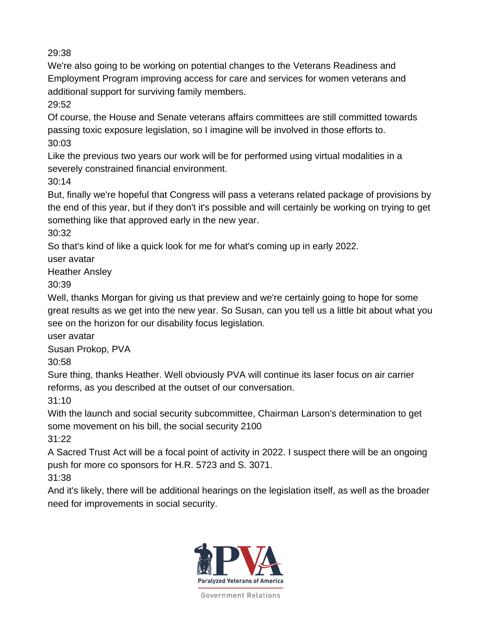We're also going to be working on potential changes to the Veterans Readiness and Employment Program improving access for care and services for women veterans and additional support for surviving family members.

29:52

Of course, the House and Senate veterans affairs committees are still committed towards passing toxic exposure legislation, so I imagine will be involved in those efforts to. 30:03

Like the previous two years our work will be for performed using virtual modalities in a severely constrained financial environment.

30:14

But, finally we're hopeful that Congress will pass a veterans related package of provisions by the end of this year, but if they don't it's possible and will certainly be working on trying to get something like that approved early in the new year.

30:32

So that's kind of like a quick look for me for what's coming up in early 2022.

user avatar

Heather Ansley

30:39

Well, thanks Morgan for giving us that preview and we're certainly going to hope for some great results as we get into the new year. So Susan, can you tell us a little bit about what you see on the horizon for our disability focus legislation.

user avatar

Susan Prokop, PVA

30:58

Sure thing, thanks Heather. Well obviously PVA will continue its laser focus on air carrier reforms, as you described at the outset of our conversation.

31:10

With the launch and social security subcommittee, Chairman Larson's determination to get some movement on his bill, the social security 2100

31:22

A Sacred Trust Act will be a focal point of activity in 2022. I suspect there will be an ongoing push for more co sponsors for H.R. 5723 and S. 3071.

31:38

And it's likely, there will be additional hearings on the legislation itself, as well as the broader need for improvements in social security.

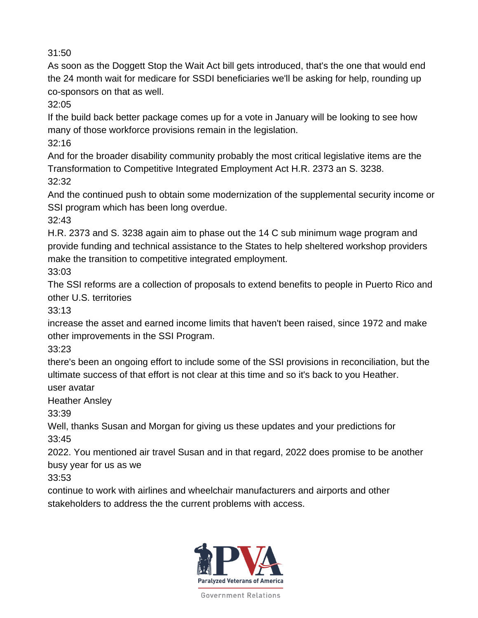As soon as the Doggett Stop the Wait Act bill gets introduced, that's the one that would end the 24 month wait for medicare for SSDI beneficiaries we'll be asking for help, rounding up co-sponsors on that as well.

32:05

If the build back better package comes up for a vote in January will be looking to see how many of those workforce provisions remain in the legislation.

32:16

And for the broader disability community probably the most critical legislative items are the Transformation to Competitive Integrated Employment Act H.R. 2373 an S. 3238. 32:32

And the continued push to obtain some modernization of the supplemental security income or SSI program which has been long overdue.

32:43

H.R. 2373 and S. 3238 again aim to phase out the 14 C sub minimum wage program and provide funding and technical assistance to the States to help sheltered workshop providers make the transition to competitive integrated employment.

33:03

The SSI reforms are a collection of proposals to extend benefits to people in Puerto Rico and other U.S. territories

33:13

increase the asset and earned income limits that haven't been raised, since 1972 and make other improvements in the SSI Program.

33:23

there's been an ongoing effort to include some of the SSI provisions in reconciliation, but the ultimate success of that effort is not clear at this time and so it's back to you Heather.

user avatar

Heather Ansley

33:39

Well, thanks Susan and Morgan for giving us these updates and your predictions for 33:45

2022. You mentioned air travel Susan and in that regard, 2022 does promise to be another busy year for us as we

33:53

continue to work with airlines and wheelchair manufacturers and airports and other stakeholders to address the the current problems with access.